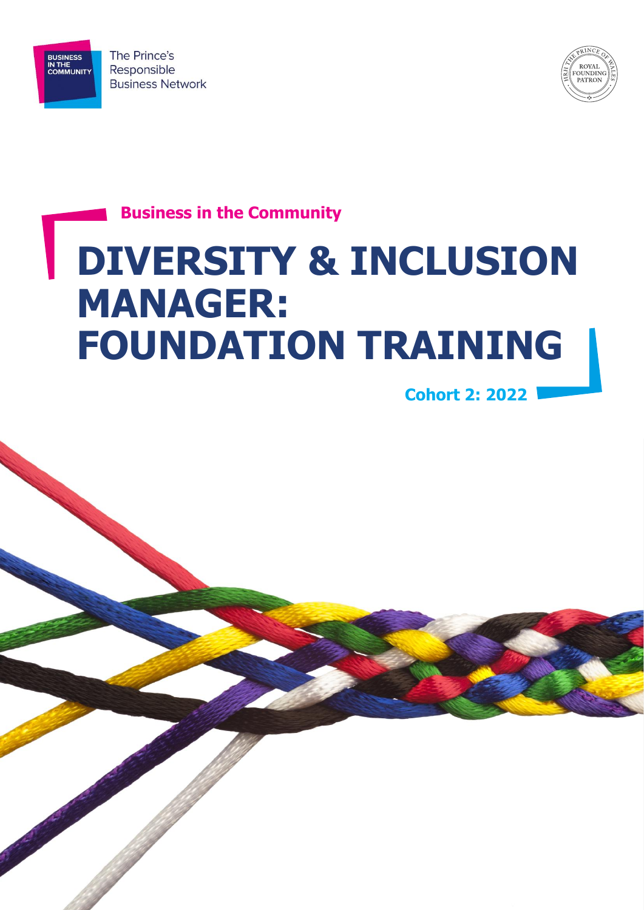

BUSINESS<br>IN THE<br>COMMUNITY



**Business in the Community**

# **DIVERSITY & INCLUSION MANAGER: FOUNDATION TRAINING**

**Cohort 2: 2022**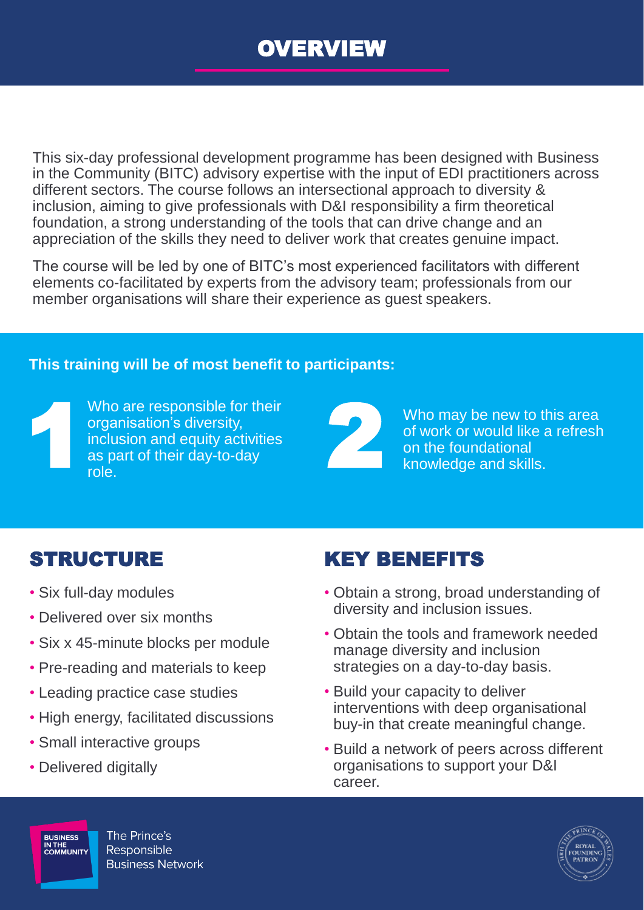

This six-day professional development programme has been designed with Business in the Community (BITC) advisory expertise with the input of EDI practitioners across different sectors. The course follows an intersectional approach to diversity & inclusion, aiming to give professionals with D&I responsibility a firm theoretical foundation, a strong understanding of the tools that can drive change and an appreciation of the skills they need to deliver work that creates genuine impact.

The course will be led by one of BITC's most experienced facilitators with different elements co-facilitated by experts from the advisory team; professionals from our member organisations will share their experience as guest speakers.

#### **This training will be of most benefit to participants:**



Who are responsible for their organisation's diversity, inclusion and equity activities as part of their day-to-day role.



Who may be new to this area of work or would like a refresh on the foundational knowledge and skills.

- Six full-day modules
- Delivered over six months
- Six x 45-minute blocks per module
- Pre-reading and materials to keep
- Leading practice case studies
- High energy, facilitated discussions
- Small interactive groups
- Delivered digitally

#### STRUCTURE KEY BENEFITS

- Obtain a strong, broad understanding of diversity and inclusion issues.
- Obtain the tools and framework needed manage diversity and inclusion strategies on a day-to-day basis.
- Build your capacity to deliver interventions with deep organisational buy-in that create meaningful change.
- Build a network of peers across different organisations to support your D&I career.



The Prince's **BUSINESS BUSINESS<br>IN THE<br>COMMUNITY** Responsible **Business Network**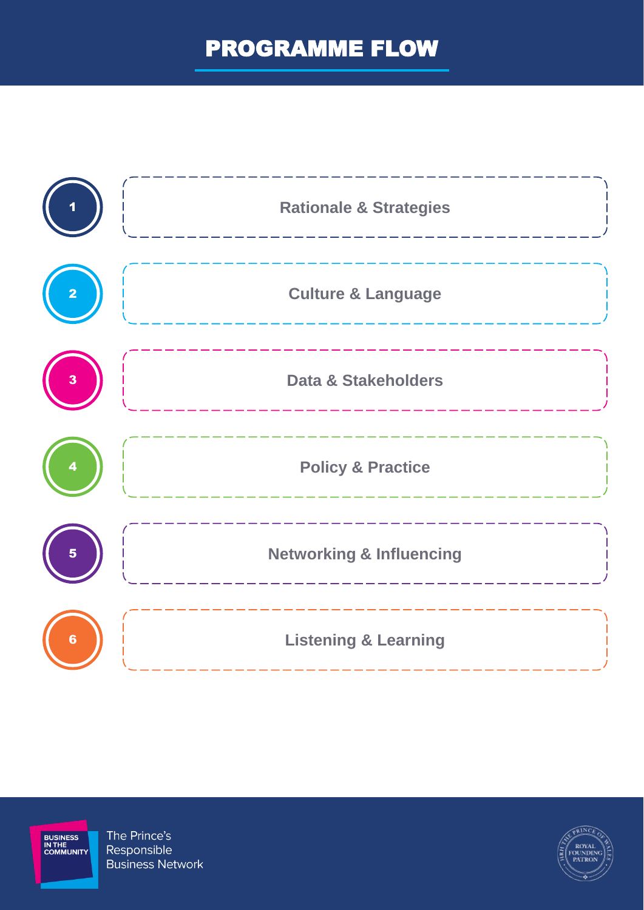# PROGRAMME FLOW





The Prince's Responsible **Business Network** 

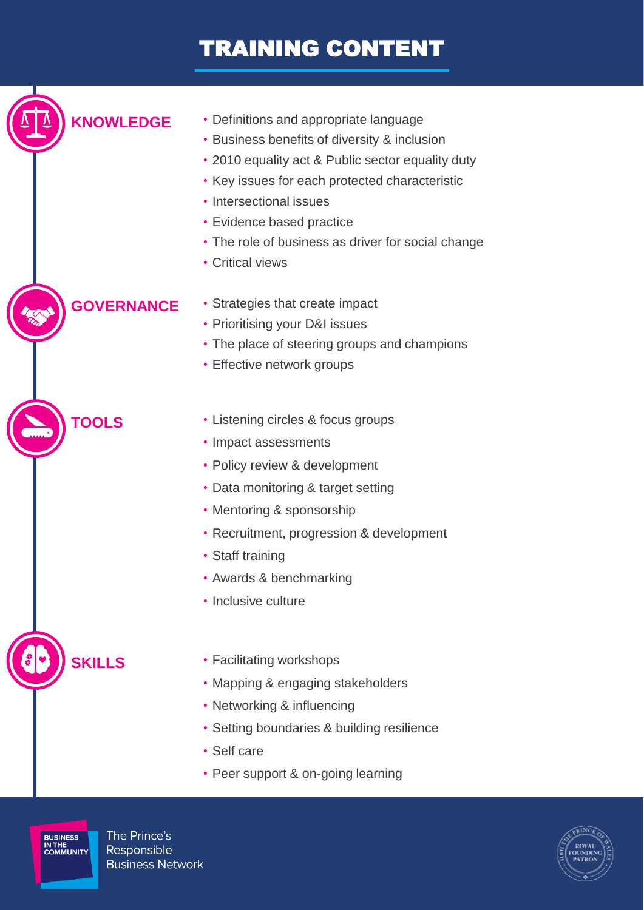# TRAINING CONTENT

**KNOWLEDGE** • Definitions and appropriate language • Business benefits of diversity & inclusion • 2010 equality act & Public sector equality duty • Key issues for each protected characteristic • Intersectional issues • Evidence based practice • The role of business as driver for social change • Critical views **GOVERNANCE** • Strategies that create impact • Prioritising your D&I issues • The place of steering groups and champions • Effective network groups **TOOLS** • Listening circles & focus groups • Impact assessments • Policy review & development • Data monitoring & target setting • Mentoring & sponsorship • Recruitment, progression & development • Staff training • Awards & benchmarking • Inclusive culture **SKILLS** • Facilitating workshops • Mapping & engaging stakeholders • Networking & influencing • Setting boundaries & building resilience

- Self care
- Peer support & on-going learning

**BUSINESS<br>IN THE<br>COMMUNITY** 

The Prince's Responsible **Business Network**